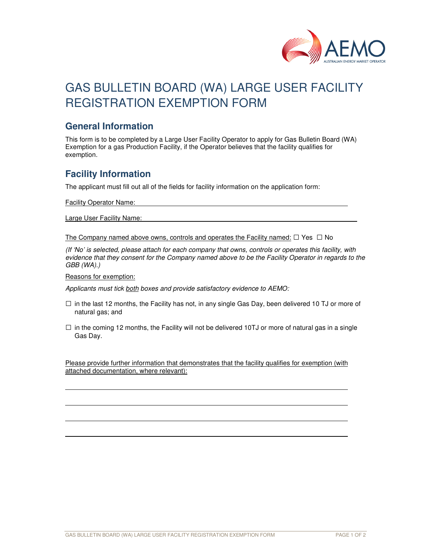

# GAS BULLETIN BOARD (WA) LARGE USER FACILITY REGISTRATION EXEMPTION FORM

#### **General Information**

This form is to be completed by a Large User Facility Operator to apply for Gas Bulletin Board (WA) Exemption for a gas Production Facility, if the Operator believes that the facility qualifies for exemption.

## **Facility Information**

The applicant must fill out all of the fields for facility information on the application form:

Facility Operator Name:

Large User Facility Name:

The Company named above owns, controls and operates the Facility named:  $\Box$  Yes  $\Box$  No

*(If 'No' is selected, please attach for each company that owns, controls or operates this facility, with evidence that they consent for the Company named above to be the Facility Operator in regards to the GBB (WA).)* 

Reasons for exemption:

ı

ı

*Applicants must tick both boxes and provide satisfactory evidence to AEMO:* 

- $\square$  in the last 12 months, the Facility has not, in any single Gas Day, been delivered 10 TJ or more of natural gas; and
- $\square$  in the coming 12 months, the Facility will not be delivered 10TJ or more of natural gas in a single Gas Day.

Please provide further information that demonstrates that the facility qualifies for exemption (with attached documentation, where relevant):